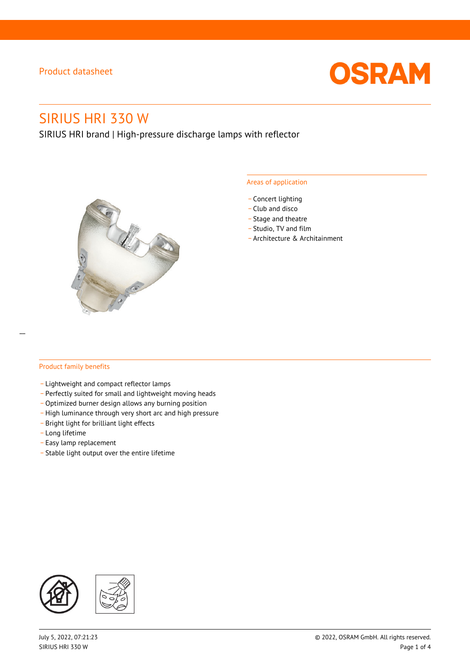

# SIRIUS HRI 330 W

SIRIUS HRI brand | High-pressure discharge lamps with reflector



#### Areas of application

- Concert lighting
- \_ Club and disco
- Stage and theatre
- \_ Studio, TV and film
- \_ Architecture & Architainment

#### Product family benefits

- \_ Lightweight and compact reflector lamps
- \_ Perfectly suited for small and lightweight moving heads
- Optimized burner design allows any burning position
- High luminance through very short arc and high pressure
- \_ Bright light for brilliant light effects
- \_ Long lifetime
- \_ Easy lamp replacement
- \_ Stable light output over the entire lifetime

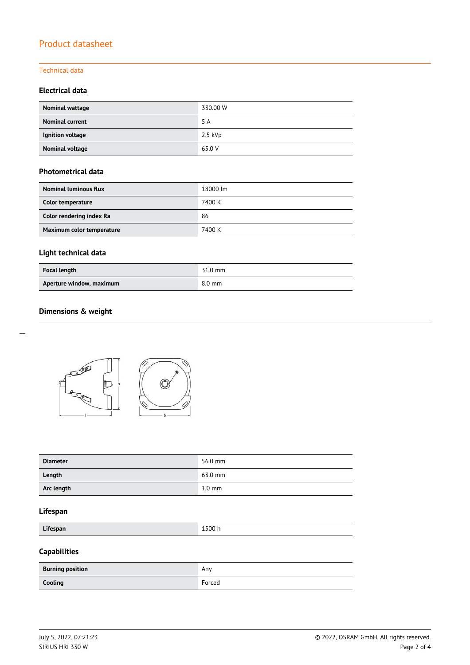#### Technical data

#### **Electrical data**

| Nominal wattage        | 330.00 W  |
|------------------------|-----------|
| <b>Nominal current</b> | 5 A       |
| Ignition voltage       | $2.5$ kVp |
| Nominal voltage        | 65.0 V    |

#### **Photometrical data**

| <b>Nominal luminous flux</b> | 18000 lm |
|------------------------------|----------|
| Color temperature            | 7400 K   |
| Color rendering index Ra     | 86       |
| Maximum color temperature    | 7400 K   |

## **Light technical data**

| <b>Focal length</b>      | 31.0 mm          |
|--------------------------|------------------|
| Aperture window, maximum | $8.0 \text{ mm}$ |

### **Dimensions & weight**



| <b>Diameter</b> | 56.0 mm          |
|-----------------|------------------|
| Length          | 63.0 mm          |
| Arc length      | $1.0 \text{ mm}$ |

#### **Lifespan**

**Lifespan** 1500 h

## **Capabilities**

| <b>Burning position</b> | Any    |
|-------------------------|--------|
| Cooling                 | Forced |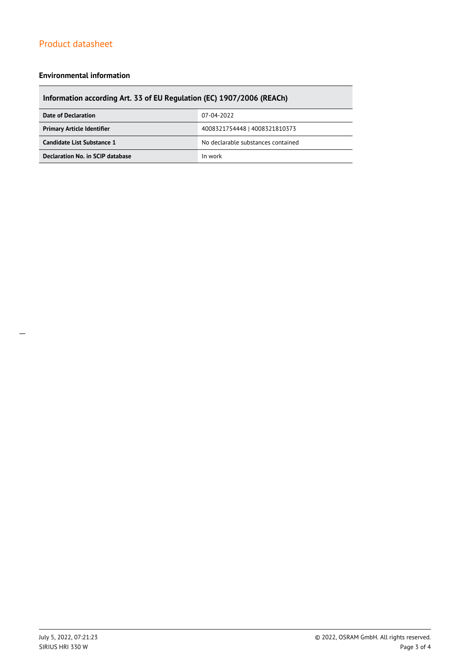#### **Environmental information**

# **Information according Art. 33 of EU Regulation (EC) 1907/2006 (REACh)**

| Date of Declaration               | 07-04-2022                         |  |
|-----------------------------------|------------------------------------|--|
| <b>Primary Article Identifier</b> | 4008321754448   4008321810373      |  |
| Candidate List Substance 1        | No declarable substances contained |  |
| Declaration No. in SCIP database  | In work                            |  |